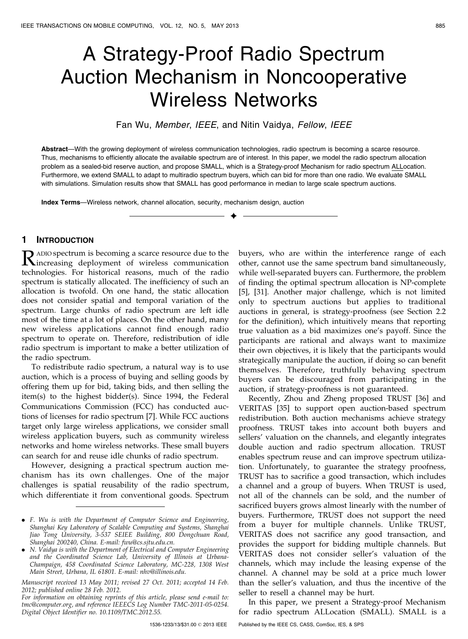# A Strategy-Proof Radio Spectrum Auction Mechanism in Noncooperative Wireless Networks

Fan Wu, Member, IEEE, and Nitin Vaidya, Fellow, IEEE

Abstract—With the growing deployment of wireless communication technologies, radio spectrum is becoming a scarce resource. Thus, mechanisms to efficiently allocate the available spectrum are of interest. In this paper, we model the radio spectrum allocation problem as a sealed-bid reserve auction, and propose SMALL, which is a Strategy-proof Mechanism for radio spectrum ALLocation. Furthermore, we extend SMALL to adapt to multiradio spectrum buyers, which can bid for more than one radio. We evaluate SMALL with simulations. Simulation results show that SMALL has good performance in median to large scale spectrum auctions.

 $\ddotmark$ 

Index Terms—Wireless network, channel allocation, security, mechanism design, auction

## 1 INTRODUCTION

RADIO spectrum is becoming a scarce resource due to the increasing deployment of wireless communication technologies. For historical reasons, much of the radio spectrum is statically allocated. The inefficiency of such an allocation is twofold. On one hand, the static allocation does not consider spatial and temporal variation of the spectrum. Large chunks of radio spectrum are left idle most of the time at a lot of places. On the other hand, many new wireless applications cannot find enough radio spectrum to operate on. Therefore, redistribution of idle radio spectrum is important to make a better utilization of the radio spectrum.

To redistribute radio spectrum, a natural way is to use auction, which is a process of buying and selling goods by offering them up for bid, taking bids, and then selling the item(s) to the highest bidder(s). Since 1994, the Federal Communications Commission (FCC) has conducted auctions of licenses for radio spectrum [7]. While FCC auctions target only large wireless applications, we consider small wireless application buyers, such as community wireless networks and home wireless networks. These small buyers can search for and reuse idle chunks of radio spectrum.

However, designing a practical spectrum auction mechanism has its own challenges. One of the major challenges is spatial reusability of the radio spectrum, which differentiate it from conventional goods. Spectrum buyers, who are within the interference range of each other, cannot use the same spectrum band simultaneously, while well-separated buyers can. Furthermore, the problem of finding the optimal spectrum allocation is NP-complete [5], [31]. Another major challenge, which is not limited only to spectrum auctions but applies to traditional auctions in general, is strategy-proofness (see Section 2.2 for the definition), which intuitively means that reporting true valuation as a bid maximizes one's payoff. Since the participants are rational and always want to maximize their own objectives, it is likely that the participants would strategically manipulate the auction, if doing so can benefit themselves. Therefore, truthfully behaving spectrum buyers can be discouraged from participating in the auction, if strategy-proofness is not guaranteed.

Recently, Zhou and Zheng proposed TRUST [36] and VERITAS [35] to support open auction-based spectrum redistribution. Both auction mechanisms achieve strategy proofness. TRUST takes into account both buyers and sellers' valuation on the channels, and elegantly integrates double auction and radio spectrum allocation. TRUST enables spectrum reuse and can improve spectrum utilization. Unfortunately, to guarantee the strategy proofness, TRUST has to sacrifice a good transaction, which includes a channel and a group of buyers. When TRUST is used, not all of the channels can be sold, and the number of sacrificed buyers grows almost linearly with the number of buyers. Furthermore, TRUST does not support the need from a buyer for multiple channels. Unlike TRUST, VERITAS does not sacrifice any good transaction, and provides the support for bidding multiple channels. But VERITAS does not consider seller's valuation of the channels, which may include the leasing expense of the channel. A channel may be sold at a price much lower than the seller's valuation, and thus the incentive of the seller to resell a channel may be hurt.

In this paper, we present a Strategy-proof Mechanism for radio spectrum ALLocation (SMALL). SMALL is a

<sup>.</sup> F. Wu is with the Department of Computer Science and Engineering, Shanghai Key Laboratory of Scalable Computing and Systems, Shanghai Jiao Tong University, 3-537 SEIEE Building, 800 Dongchuan Road, Shanghai 200240, China. E-mail: fwu@cs.sjtu.edu.cn.

<sup>.</sup> N. Vaidya is with the Department of Electrical and Computer Engineering and the Coordinated Science Lab, University of Illinois at Urbana-Champaign, 458 Coordinated Science Laboratory, MC-228, 1308 West Main Street, Urbana, IL 61801. E-mail: nhv@illinois.edu.

Manuscript received 13 May 2011; revised 27 Oct. 2011; accepted 14 Feb. 2012; published online 28 Feb. 2012.

For information on obtaining reprints of this article, please send e-mail to: tmc@computer.org, and reference IEEECS Log Number TMC-2011-05-0254. Digital Object Identifier no. 10.1109/TMC.2012.55.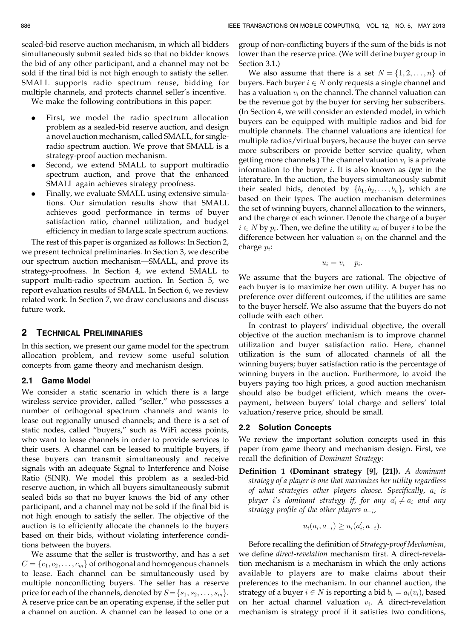sealed-bid reserve auction mechanism, in which all bidders simultaneously submit sealed bids so that no bidder knows the bid of any other participant, and a channel may not be sold if the final bid is not high enough to satisfy the seller. SMALL supports radio spectrum reuse, bidding for multiple channels, and protects channel seller's incentive.

We make the following contributions in this paper:

- . First, we model the radio spectrum allocation problem as a sealed-bid reserve auction, and design a novel auction mechanism, called SMALL, for singleradio spectrum auction. We prove that SMALL is a strategy-proof auction mechanism.
- Second, we extend SMALL to support multiradio spectrum auction, and prove that the enhanced SMALL again achieves strategy proofness.
- . Finally, we evaluate SMALL using extensive simulations. Our simulation results show that SMALL achieves good performance in terms of buyer satisfaction ratio, channel utilization, and budget efficiency in median to large scale spectrum auctions.

The rest of this paper is organized as follows: In Section 2, we present technical preliminaries. In Section 3, we describe our spectrum auction mechanism—SMALL, and prove its strategy-proofness. In Section 4, we extend SMALL to support multi-radio spectrum auction. In Section 5, we report evaluation results of SMALL. In Section 6, we review related work. In Section 7, we draw conclusions and discuss future work.

## 2 TECHNICAL PRELIMINARIES

In this section, we present our game model for the spectrum allocation problem, and review some useful solution concepts from game theory and mechanism design.

## 2.1 Game Model

We consider a static scenario in which there is a large wireless service provider, called "seller," who possesses a number of orthogonal spectrum channels and wants to lease out regionally unused channels; and there is a set of static nodes, called "buyers," such as WiFi access points, who want to lease channels in order to provide services to their users. A channel can be leased to multiple buyers, if these buyers can transmit simultaneously and receive signals with an adequate Signal to Interference and Noise Ratio (SINR). We model this problem as a sealed-bid reserve auction, in which all buyers simultaneously submit sealed bids so that no buyer knows the bid of any other participant, and a channel may not be sold if the final bid is not high enough to satisfy the seller. The objective of the auction is to efficiently allocate the channels to the buyers based on their bids, without violating interference conditions between the buyers.

We assume that the seller is trustworthy, and has a set  $C = \{c_1, c_2, \ldots, c_m\}$  of orthogonal and homogenous channels to lease. Each channel can be simultaneously used by multiple nonconflicting buyers. The seller has a reserve price for each of the channels, denoted by  $S = \{s_1, s_2, \ldots, s_m\}.$ A reserve price can be an operating expense, if the seller put a channel on auction. A channel can be leased to one or a

group of non-conflicting buyers if the sum of the bids is not lower than the reserve price. (We will define buyer group in Section 3.1.)

We also assume that there is a set  $N = \{1, 2, ..., n\}$  of buyers. Each buyer  $i \in N$  only requests a single channel and has a valuation  $v_i$  on the channel. The channel valuation can be the revenue got by the buyer for serving her subscribers. (In Section 4, we will consider an extended model, in which buyers can be equipped with multiple radios and bid for multiple channels. The channel valuations are identical for multiple radios/virtual buyers, because the buyer can serve more subscribers or provide better service quality, when getting more channels.) The channel valuation  $v_i$  is a private information to the buyer  $i$ . It is also known as type in the literature. In the auction, the buyers simultaneously submit their sealed bids, denoted by  $\{b_1, b_2, \ldots, b_n\}$ , which are based on their types. The auction mechanism determines the set of winning buyers, channel allocation to the winners, and the charge of each winner. Denote the charge of a buyer  $i \in N$  by  $p_i$ . Then, we define the utility  $u_i$  of buyer i to be the difference between her valuation  $v_i$  on the channel and the charge  $p_i$ :

$$
u_i=v_i-p_i.
$$

We assume that the buyers are rational. The objective of each buyer is to maximize her own utility. A buyer has no preference over different outcomes, if the utilities are same to the buyer herself. We also assume that the buyers do not collude with each other.

In contrast to players' individual objective, the overall objective of the auction mechanism is to improve channel utilization and buyer satisfaction ratio. Here, channel utilization is the sum of allocated channels of all the winning buyers; buyer satisfaction ratio is the percentage of winning buyers in the auction. Furthermore, to avoid the buyers paying too high prices, a good auction mechanism should also be budget efficient, which means the overpayment, between buyers' total charge and sellers' total valuation/reserve price, should be small.

#### 2.2 Solution Concepts

We review the important solution concepts used in this paper from game theory and mechanism design. First, we recall the definition of Dominant Strategy:

Definition 1 (Dominant strategy [9], [21]). A dominant strategy of a player is one that maximizes her utility regardless of what strategies other players choose. Specifically,  $a_i$  is player  $i'$ s dominant strategy if, for any  $a'_i\neq a_i$  and any strategy profile of the other players  $a_{-i}$ ,

$$
u_i(a_i,a_{-i}) \geq u_i(a'_i,a_{-i}).
$$

Before recalling the definition of Strategy-proof Mechanism, we define direct-revelation mechanism first. A direct-revelation mechanism is a mechanism in which the only actions available to players are to make claims about their preferences to the mechanism. In our channel auction, the strategy of a buyer  $i \in N$  is reporting a bid  $b_i = a_i(v_i)$ , based on her actual channel valuation  $v_i$ . A direct-revelation mechanism is strategy proof if it satisfies two conditions,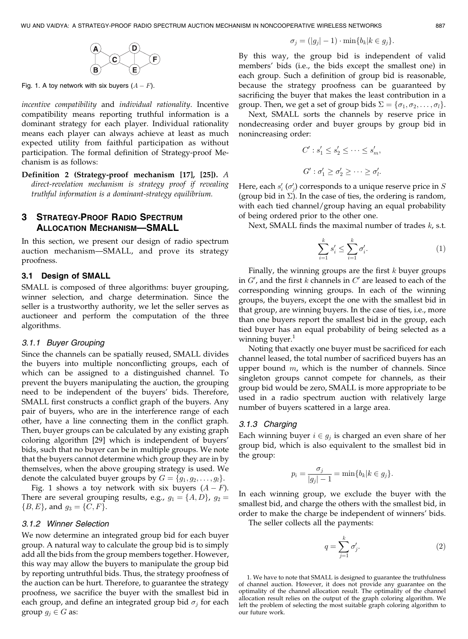

Fig. 1. A toy network with six buyers  $(A - F)$ .

incentive compatibility and individual rationality. Incentive compatibility means reporting truthful information is a dominant strategy for each player. Individual rationality means each player can always achieve at least as much expected utility from faithful participation as without participation. The formal definition of Strategy-proof Mechanism is as follows:

Definition 2 (Strategy-proof mechanism [17], [25]). A direct-revelation mechanism is strategy proof if revealing truthful information is a dominant-strategy equilibrium.

# 3 STRATEGY-PROOF RADIO SPECTRUM ALLOCATION MECHANISM—SMALL

In this section, we present our design of radio spectrum auction mechanism—SMALL, and prove its strategy proofness.

# 3.1 Design of SMALL

SMALL is composed of three algorithms: buyer grouping, winner selection, and charge determination. Since the seller is a trustworthy authority, we let the seller serves as auctioneer and perform the computation of the three algorithms.

## 3.1.1 Buyer Grouping

Since the channels can be spatially reused, SMALL divides the buyers into multiple nonconflicting groups, each of which can be assigned to a distinguished channel. To prevent the buyers manipulating the auction, the grouping need to be independent of the buyers' bids. Therefore, SMALL first constructs a conflict graph of the buyers. Any pair of buyers, who are in the interference range of each other, have a line connecting them in the conflict graph. Then, buyer groups can be calculated by any existing graph coloring algorithm [29] which is independent of buyers' bids, such that no buyer can be in multiple groups. We note that the buyers cannot determine which group they are in by themselves, when the above grouping strategy is used. We denote the calculated buyer groups by  $G = \{g_1, g_2, \ldots, g_l\}.$ 

Fig. 1 shows a toy network with six buyers  $(A - F)$ . There are several grouping results, e.g.,  $g_1 = \{A, D\}$ ,  $g_2 =$  ${B, E}$ , and  $g_3 = {C, F}$ .

## 3.1.2 Winner Selection

We now determine an integrated group bid for each buyer group. A natural way to calculate the group bid is to simply add all the bids from the group members together. However, this way may allow the buyers to manipulate the group bid by reporting untruthful bids. Thus, the strategy proofness of the auction can be hurt. Therefore, to guarantee the strategy proofness, we sacrifice the buyer with the smallest bid in each group, and define an integrated group bid  $\sigma_j$  for each group  $g_i \in G$  as:

$$
\sigma_j = (|g_j| - 1) \cdot \min\{b_k | k \in g_j\}.
$$

By this way, the group bid is independent of valid members' bids (i.e., the bids except the smallest one) in each group. Such a definition of group bid is reasonable, because the strategy proofness can be guaranteed by sacrificing the buyer that makes the least contribution in a group. Then, we get a set of group bids  $\Sigma = \{\sigma_1, \sigma_2, \ldots, \sigma_l\}.$ 

Next, SMALL sorts the channels by reserve price in nondecreasing order and buyer groups by group bid in nonincreasing order:

$$
C': s'_1 \leq s'_2 \leq \cdots \leq s'_m,
$$
  

$$
G': \sigma'_1 \geq \sigma'_2 \geq \cdots \geq \sigma'_l.
$$

Here, each  $s_i'$  ( $\sigma_j'$ ) corresponds to a unique reserve price in  $S$ (group bid in  $\Sigma$ ). In the case of ties, the ordering is random, with each tied channel/group having an equal probability of being ordered prior to the other one.

Next, SMALL finds the maximal number of trades  $k$ , s.t.

$$
\sum_{i=1}^{k} s'_i \le \sum_{i=1}^{k} \sigma'_i.
$$
\n
$$
(1)
$$

Finally, the winning groups are the first  $k$  buyer groups in  $G'$ , and the first k channels in  $C'$  are leased to each of the corresponding winning groups. In each of the winning groups, the buyers, except the one with the smallest bid in that group, are winning buyers. In the case of ties, i.e., more than one buyers report the smallest bid in the group, each tied buyer has an equal probability of being selected as a winning buyer. $<sup>1</sup>$ </sup>

Noting that exactly one buyer must be sacrificed for each channel leased, the total number of sacrificed buyers has an upper bound  $m$ , which is the number of channels. Since singleton groups cannot compete for channels, as their group bid would be zero, SMALL is more appropriate to be used in a radio spectrum auction with relatively large number of buyers scattered in a large area.

#### 3.1.3 Charging

Each winning buyer  $i \in g_i$  is charged an even share of her group bid, which is also equivalent to the smallest bid in the group:

$$
p_i = \frac{\sigma_j}{|g_j| - 1} = \min\{b_k | k \in g_j\}.
$$

In each winning group, we exclude the buyer with the smallest bid, and charge the others with the smallest bid, in order to make the charge be independent of winners' bids.

The seller collects all the payments:

$$
q = \sum_{j=1}^{k} \sigma'_j.
$$
 (2)

1. We have to note that SMALL is designed to guarantee the truthfulness of channel auction. However, it does not provide any guarantee on the optimality of the channel allocation result. The optimality of the channel allocation result relies on the output of the graph coloring algorithm. We left the problem of selecting the most suitable graph coloring algorithm to our future work.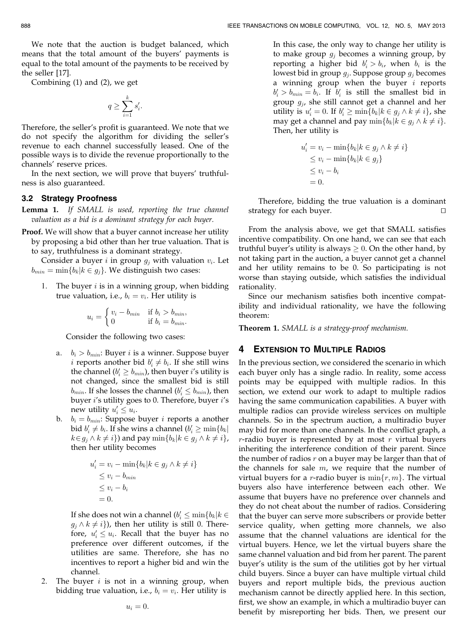We note that the auction is budget balanced, which means that the total amount of the buyers' payments is equal to the total amount of the payments to be received by the seller [17].

Combining (1) and (2), we get

$$
q \ge \sum_{i=1}^k s'_i.
$$

Therefore, the seller's profit is guaranteed. We note that we do not specify the algorithm for dividing the seller's revenue to each channel successfully leased. One of the possible ways is to divide the revenue proportionally to the channels' reserve prices.

In the next section, we will prove that buyers' truthfulness is also guaranteed.

## 3.2 Strategy Proofness

- Lemma 1. If SMALL is used, reporting the true channel valuation as a bid is a dominant strategy for each buyer.
- Proof. We will show that a buyer cannot increase her utility by proposing a bid other than her true valuation. That is to say, truthfulness is a dominant strategy.

Consider a buyer *i* in group  $g_j$  with valuation  $v_i$ . Let  $b_{min} = \min\{b_k | k \in g_j\}$ . We distinguish two cases:

1. The buyer  $i$  is in a winning group, when bidding true valuation, i.e.,  $b_i = v_i$ . Her utility is

$$
u_i = \begin{cases} v_i - b_{min} & \text{if } b_i > b_{min}, \\ 0 & \text{if } b_i = b_{min}. \end{cases}
$$

Consider the following two cases:

- a.  $b_i > b_{min}$ : Buyer *i* is a winner. Suppose buyer *i* reports another bid  $b'_i \neq b_i$ . If she still wins the channel  $(b'_i \ge b_{min})$ , then buyer *i*'s utility is not changed, since the smallest bid is still  $b_{min}$ . If she losses the channel  $(b_i' \le b_{min})$ , then buyer i's utility goes to 0. Therefore, buyer i's new utility  $u'_i \leq u_i$ .
- b.  $b_i = b_{min}$ : Suppose buyer *i* reports a another bid  $b'_i \neq b_i$ . If she wins a channel  $(b'_i \geq \min\{b_k \mid$  $k \in g_i \wedge k \neq i$ ) and pay  $\min\{b_k | k \in g_i \wedge k \neq i\},$ then her utility becomes

$$
u'_{i} = v_{i} - \min\{b_{k} | k \in g_{j} \land k \neq i\}
$$
  
\n
$$
\leq v_{i} - b_{min}
$$
  
\n
$$
\leq v_{i} - b_{i}
$$
  
\n
$$
= 0.
$$

If she does not win a channel  $(b'_i \leq \min\{b_k | k\in \mathbb{R}^d\})$  $g_i \wedge k \neq i$ ), then her utility is still 0. Therefore,  $u'_i \leq u_i$ . Recall that the buyer has no preference over different outcomes, if the utilities are same. Therefore, she has no incentives to report a higher bid and win the channel.

The buyer  $i$  is not in a winning group, when bidding true valuation, i.e.,  $b_i = v_i$ . Her utility is

In this case, the only way to change her utility is to make group  $g_j$  becomes a winning group, by reporting a higher bid  $b_i' > b_i$ , when  $b_i$  is the lowest bid in group  $g_j$ . Suppose group  $g_j$  becomes a winning group when the buyer  $i$  reports  $b_i > b_{min} = b_i$ . If  $b_i$  is still the smallest bid in group  $g_j$ , she still cannot get a channel and her utility is  $u'_i = 0$ . If  $b'_i \ge \min\{b_k | k \in g_j \land k \ne i\}$ , she may get a channel and pay  $\min\{b_k | k \in g_j \land k \neq i\}.$ Then, her utility is

$$
u'_{i} = v_{i} - \min\{b_{k}|k \in g_{j} \land k \neq i\}
$$
  
\n
$$
\leq v_{i} - \min\{b_{k}|k \in g_{j}\}
$$
  
\n
$$
\leq v_{i} - b_{i}
$$
  
\n
$$
= 0.
$$

Therefore, bidding the true valuation is a dominant strategy for each buyer.  $\Box$ 

From the analysis above, we get that SMALL satisfies incentive compatibility. On one hand, we can see that each truthful buyer's utility is always  $\geq 0$ . On the other hand, by not taking part in the auction, a buyer cannot get a channel and her utility remains to be 0. So participating is not worse than staying outside, which satisfies the individual rationality.

Since our mechanism satisfies both incentive compatibility and individual rationality, we have the following theorem:

Theorem 1. SMALL is a strategy-proof mechanism.

# 4 EXTENSION TO MULTIPLE RADIOS

In the previous section, we considered the scenario in which each buyer only has a single radio. In reality, some access points may be equipped with multiple radios. In this section, we extend our work to adapt to multiple radios having the same communication capabilities. A buyer with multiple radios can provide wireless services on multiple channels. So in the spectrum auction, a multiradio buyer may bid for more than one channels. In the conflict graph, a  $r$ -radio buyer is represented by at most  $r$  virtual buyers inheriting the interference condition of their parent. Since the number of radios  $r$  on a buyer may be larger than that of the channels for sale  $m$ , we require that the number of virtual buyers for a *r*-radio buyer is  $\min\{r, m\}$ . The virtual buyers also have interference between each other. We assume that buyers have no preference over channels and they do not cheat about the number of radios. Considering that the buyer can serve more subscribers or provide better service quality, when getting more channels, we also assume that the channel valuations are identical for the virtual buyers. Hence, we let the virtual buyers share the same channel valuation and bid from her parent. The parent buyer's utility is the sum of the utilities got by her virtual child buyers. Since a buyer can have multiple virtual child buyers and report multiple bids, the previous auction mechanism cannot be directly applied here. In this section, first, we show an example, in which a multiradio buyer can benefit by misreporting her bids. Then, we present our

$$
u_i=0.
$$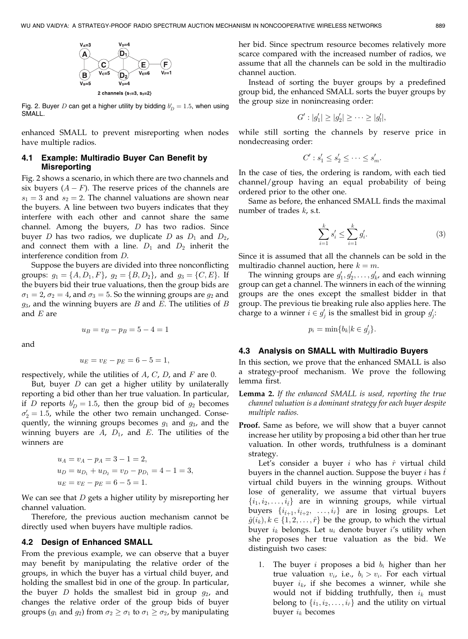

Fig. 2. Buyer D can get a higher utility by bidding  $b'_D = 1.5$ , when using SMALL.

enhanced SMALL to prevent misreporting when nodes have multiple radios.

## 4.1 Example: Multiradio Buyer Can Benefit by Misreporting

Fig. 2 shows a scenario, in which there are two channels and six buyers  $(A - F)$ . The reserve prices of the channels are  $s_1 = 3$  and  $s_2 = 2$ . The channel valuations are shown near the buyers. A line between two buyers indicates that they interfere with each other and cannot share the same channel. Among the buyers,  $D$  has two radios. Since buyer *D* has two radios, we duplicate *D* as  $D_1$  and  $D_2$ , and connect them with a line.  $D_1$  and  $D_2$  inherit the interference condition from D.

Suppose the buyers are divided into three nonconflicting groups:  $g_1 = \{A, D_1, F\}$ ,  $g_2 = \{B, D_2\}$ , and  $g_3 = \{C, E\}$ . If the buyers bid their true valuations, then the group bids are  $\sigma_1 = 2$ ,  $\sigma_2 = 4$ , and  $\sigma_3 = 5$ . So the winning groups are  $g_2$  and  $g_3$ , and the winning buyers are B and E. The utilities of B and  $E$  are

and

$$
\mathcal{L}_{\mathcal{A}}(x)
$$

 $u_B = v_B - p_B = 5 - 4 = 1$ 

$$
u_E = v_E - p_E = 6 - 5 = 1,
$$

respectively, while the utilities of  $A$ ,  $C$ ,  $D$ , and  $F$  are 0.

But, buyer  $D$  can get a higher utility by unilaterally reporting a bid other than her true valuation. In particular, if *D* reports  $b'_D = 1.5$ , then the group bid of  $g_2$  becomes  $\sigma'_2 = 1.5$ , while the other two remain unchanged. Consequently, the winning groups becomes  $g_1$  and  $g_3$ , and the winning buyers are  $A$ ,  $D_1$ , and  $E$ . The utilities of the winners are

$$
u_A = v_A - p_A = 3 - 1 = 2,
$$
  
\n
$$
u_D = u_{D_1} + u_{D_2} = v_D - p_{D_1} = 4 - 1 = 3,
$$
  
\n
$$
u_E = v_E - p_E = 6 - 5 = 1.
$$

We can see that  $D$  gets a higher utility by misreporting her channel valuation.

Therefore, the previous auction mechanism cannot be directly used when buyers have multiple radios.

## 4.2 Design of Enhanced SMALL

From the previous example, we can observe that a buyer may benefit by manipulating the relative order of the groups, in which the buyer has a virtual child buyer, and holding the smallest bid in one of the group. In particular, the buyer  $D$  holds the smallest bid in group  $g_2$ , and changes the relative order of the group bids of buyer groups ( $g_1$  and  $g_2$ ) from  $\sigma_2 \geq \sigma_1$  to  $\sigma_1 \geq \sigma_2$ , by manipulating

her bid. Since spectrum resource becomes relatively more scarce compared with the increased number of radios, we assume that all the channels can be sold in the multiradio channel auction.

Instead of sorting the buyer groups by a predefined group bid, the enhanced SMALL sorts the buyer groups by the group size in nonincreasing order:

$$
G': |g_1'| \geq |g_2'| \geq \cdots \geq |g_l'|,
$$

while still sorting the channels by reserve price in nondecreasing order:

$$
C': s'_1 \leq s'_2 \leq \cdots \leq s'_m.
$$

In the case of ties, the ordering is random, with each tied channel/group having an equal probability of being ordered prior to the other one.

Same as before, the enhanced SMALL finds the maximal number of trades  $k$ , s.t.

$$
\sum_{i=1}^{k} s'_i \le \sum_{i=1}^{k} g'_i.
$$
 (3)

Since it is assumed that all the channels can be sold in the multiradio channel auction, here  $k = m$ .

The winning groups are  $g'_1, g'_2, \ldots, g'_k$ , and each winning group can get a channel. The winners in each of the winning groups are the ones except the smallest bidder in that group. The previous tie breaking rule also applies here. The charge to a winner  $i \in g'_j$  is the smallest bid in group  $g'_j$ :

$$
p_i = \min\{b_k | k \in g'_j\}.
$$

#### 4.3 Analysis on SMALL with Multiradio Buyers

In this section, we prove that the enhanced SMALL is also a strategy-proof mechanism. We prove the following lemma first.

- Lemma 2. If the enhanced SMALL is used, reporting the true channel valuation is a dominant strategy for each buyer despite multiple radios.
- Proof. Same as before, we will show that a buyer cannot increase her utility by proposing a bid other than her true valuation. In other words, truthfulness is a dominant strategy.

Let's consider a buyer  $i$  who has  $\hat{r}$  virtual child buyers in the channel auction. Suppose the buyer  $i$  has  $\hat{t}$ virtual child buyers in the winning groups. Without lose of generality, we assume that virtual buyers  $\{i_1, i_2, \ldots, i_{\hat{t}}\}$  are in winning groups, while virtual buyers  $\{i_{\hat{t}+1}, i_{\hat{t}+2}, \ldots, i_{\hat{r}}\}$  are in losing groups. Let  $\hat{g}(i_k), k \in \{1, 2, \ldots, \hat{r}\}\$ be the group, to which the virtual buyer  $i_k$  belongs. Let  $u_i$  denote buyer i's utility when she proposes her true valuation as the bid. We distinguish two cases:

1. The buyer *i* proposes a bid  $b_i$  higher than her true valuation  $v_i$ , i.e.,  $b_i > v_i$ . For each virtual buyer  $i_k$ , if she becomes a winner, while she would not if bidding truthfully, then  $i_k$  must belong to  $\{i_1, i_2, \ldots, i_r\}$  and the utility on virtual buyer  $i_k$  becomes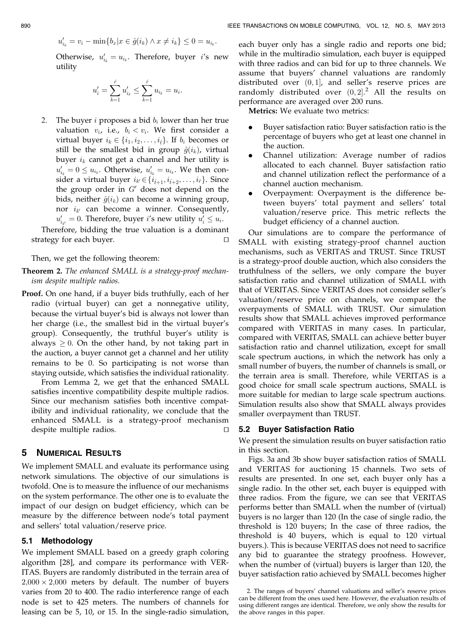$$
u'_{i_k} = v_i - \min\{b_x | x \in \hat{g}(i_k) \land x \neq i_k\} \le 0 = u_{i_k}.
$$

Otherwise,  $u'_{i_k} = u_{i_k}$ . Therefore, buyer *i*'s new utility

$$
u'_{i} = \sum_{k=1}^{\hat{r}} u'_{i_k} \le \sum_{k=1}^{\hat{r}} u_{i_k} = u_i.
$$

2. The buyer *i* proposes a bid  $b_i$  lower than her true valuation  $v_i$ , i.e.,  $b_i < v_i$ . We first consider a virtual buyer  $i_k \in \{i_1, i_2, \ldots, i_{\hat{t}}\}$ . If  $b_i$  becomes or still be the smallest bid in group  $\hat{g}(i_k)$ , virtual buyer  $i_k$  cannot get a channel and her utility is  $u'_{i_k} = 0 \le u_{i_k}$ . Otherwise,  $u'_{i_k} = u_{i_k}$ . We then consider a virtual buyer  $i_{k'} \in \{i_{\hat{t}+1}, i_{\hat{t}+2}, \ldots, i_{\hat{r}}\}$ . Since the group order in  $G'$  does not depend on the bids, neither  $\hat{g}(i_k)$  can become a winning group, nor  $i_{k'}$  can become a winner. Consequently,  $u'_{i_{k'}} = 0$ . Therefore, buyer *i*'s new utility  $u'_i \leq u_i$ .

Therefore, bidding the true valuation is a dominant strategy for each buyer.  $\Box$ 

Then, we get the following theorem:

- Theorem 2. The enhanced SMALL is a strategy-proof mechanism despite multiple radios.
- Proof. On one hand, if a buyer bids truthfully, each of her radio (virtual buyer) can get a nonnegative utility, because the virtual buyer's bid is always not lower than her charge (i.e., the smallest bid in the virtual buyer's group). Consequently, the truthful buyer's utility is always  $\geq 0$ . On the other hand, by not taking part in the auction, a buyer cannot get a channel and her utility remains to be 0. So participating is not worse than staying outside, which satisfies the individual rationality.

From Lemma 2, we get that the enhanced SMALL satisfies incentive compatibility despite multiple radios. Since our mechanism satisfies both incentive compatibility and individual rationality, we conclude that the enhanced SMALL is a strategy-proof mechanism despite multiple radios.  $\Box$ 

# 5 NUMERICAL RESULTS

We implement SMALL and evaluate its performance using network simulations. The objective of our simulations is twofold. One is to measure the influence of our mechanisms on the system performance. The other one is to evaluate the impact of our design on budget efficiency, which can be measure by the difference between node's total payment and sellers' total valuation/reserve price.

## 5.1 Methodology

We implement SMALL based on a greedy graph coloring algorithm [28], and compare its performance with VER-ITAS. Buyers are randomly distributed in the terrain area of  $2,000 \times 2,000$  meters by default. The number of buyers varies from 20 to 400. The radio interference range of each node is set to 425 meters. The numbers of channels for leasing can be 5, 10, or 15. In the single-radio simulation,

each buyer only has a single radio and reports one bid; while in the multiradio simulation, each buyer is equipped with three radios and can bid for up to three channels. We assume that buyers' channel valuations are randomly distributed over  $(0, 1]$ , and seller's reserve prices are randomly distributed over  $(0,2]$ .<sup>2</sup> All the results on performance are averaged over 200 runs.

Metrics: We evaluate two metrics:

- . Buyer satisfaction ratio: Buyer satisfaction ratio is the percentage of buyers who get at least one channel in the auction.
- . Channel utilization: Average number of radios allocated to each channel. Buyer satisfaction ratio and channel utilization reflect the performance of a channel auction mechanism.
- . Overpayment: Overpayment is the difference between buyers' total payment and sellers' total valuation/reserve price. This metric reflects the budget efficiency of a channel auction.

Our simulations are to compare the performance of SMALL with existing strategy-proof channel auction mechanisms, such as VERITAS and TRUST. Since TRUST is a strategy-proof double auction, which also considers the truthfulness of the sellers, we only compare the buyer satisfaction ratio and channel utilization of SMALL with that of VERITAS. Since VERITAS does not consider seller's valuation/reserve price on channels, we compare the overpayments of SMALL with TRUST. Our simulation results show that SMALL achieves improved performance compared with VERITAS in many cases. In particular, compared with VERITAS, SMALL can achieve better buyer satisfaction ratio and channel utilization, except for small scale spectrum auctions, in which the network has only a small number of buyers, the number of channels is small, or the terrain area is small. Therefore, while VERITAS is a good choice for small scale spectrum auctions, SMALL is more suitable for median to large scale spectrum auctions. Simulation results also show that SMALL always provides smaller overpayment than TRUST.

## 5.2 Buyer Satisfaction Ratio

We present the simulation results on buyer satisfaction ratio in this section.

Figs. 3a and 3b show buyer satisfaction ratios of SMALL and VERITAS for auctioning 15 channels. Two sets of results are presented. In one set, each buyer only has a single radio. In the other set, each buyer is equipped with three radios. From the figure, we can see that VERITAS performs better than SMALL when the number of (virtual) buyers is no larger than 120 (In the case of single radio, the threshold is 120 buyers; In the case of three radios, the threshold is 40 buyers, which is equal to 120 virtual buyers.). This is because VERITAS does not need to sacrifice any bid to guarantee the strategy proofness. However, when the number of (virtual) buyers is larger than 120, the buyer satisfaction ratio achieved by SMALL becomes higher

<sup>2.</sup> The ranges of buyers' channel valuations and seller's reserve prices can be different from the ones used here. However, the evaluation results of using different ranges are identical. Therefore, we only show the results for the above ranges in this paper.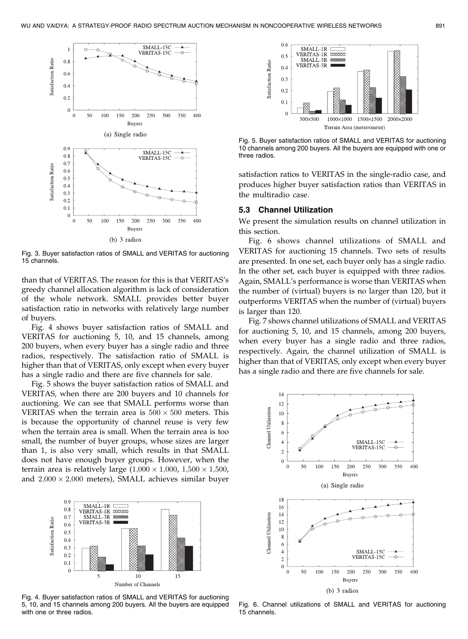

Fig. 3. Buyer satisfaction ratios of SMALL and VERITAS for auctioning 15 channels.

than that of VERITAS. The reason for this is that VERITAS's greedy channel allocation algorithm is lack of consideration of the whole network. SMALL provides better buyer satisfaction ratio in networks with relatively large number of buyers.

Fig. 4 shows buyer satisfaction ratios of SMALL and VERITAS for auctioning 5, 10, and 15 channels, among 200 buyers, when every buyer has a single radio and three radios, respectively. The satisfaction ratio of SMALL is higher than that of VERITAS, only except when every buyer has a single radio and there are five channels for sale.

Fig. 5 shows the buyer satisfaction ratios of SMALL and VERITAS, when there are 200 buyers and 10 channels for auctioning. We can see that SMALL performs worse than VERITAS when the terrain area is  $500 \times 500$  meters. This is because the opportunity of channel reuse is very few when the terrain area is small. When the terrain area is too small, the number of buyer groups, whose sizes are larger than 1, is also very small, which results in that SMALL does not have enough buyer groups. However, when the terrain area is relatively large  $(1,000 \times 1,000, 1,500 \times 1,500,$ and  $2,000 \times 2,000$  meters), SMALL achieves similar buyer



Fig. 4. Buyer satisfaction ratios of SMALL and VERITAS for auctioning 5, 10, and 15 channels among 200 buyers. All the buyers are equipped with one or three radios.



Fig. 5. Buyer satisfaction ratios of SMALL and VERITAS for auctioning 10 channels among 200 buyers. All the buyers are equipped with one or three radios.

satisfaction ratios to VERITAS in the single-radio case, and produces higher buyer satisfaction ratios than VERITAS in the multiradio case.

# 5.3 Channel Utilization

We present the simulation results on channel utilization in this section.

Fig. 6 shows channel utilizations of SMALL and VERITAS for auctioning 15 channels. Two sets of results are presented. In one set, each buyer only has a single radio. In the other set, each buyer is equipped with three radios. Again, SMALL's performance is worse than VERITAS when the number of (virtual) buyers is no larger than 120, but it outperforms VERITAS when the number of (virtual) buyers is larger than 120.

Fig. 7 shows channel utilizations of SMALL and VERITAS for auctioning 5, 10, and 15 channels, among 200 buyers, when every buyer has a single radio and three radios, respectively. Again, the channel utilization of SMALL is higher than that of VERITAS, only except when every buyer has a single radio and there are five channels for sale.



Fig. 6. Channel utilizations of SMALL and VERITAS for auctioning 15 channels.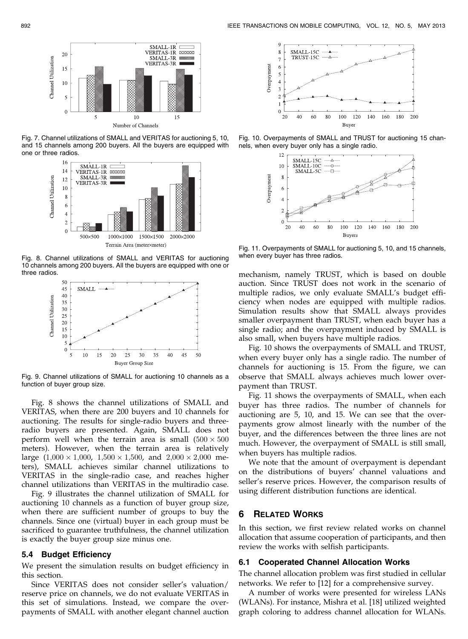

Fig. 7. Channel utilizations of SMALL and VERITAS for auctioning 5, 10, and 15 channels among 200 buyers. All the buyers are equipped with one or three radios.



Fig. 8. Channel utilizations of SMALL and VERITAS for auctioning 10 channels among 200 buyers. All the buyers are equipped with one or three radios.



Fig. 9. Channel utilizations of SMALL for auctioning 10 channels as a function of buyer group size.

Fig. 8 shows the channel utilizations of SMALL and VERITAS, when there are 200 buyers and 10 channels for auctioning. The results for single-radio buyers and threeradio buyers are presented. Again, SMALL does not perform well when the terrain area is small  $(500 \times 500)$ meters). However, when the terrain area is relatively large  $(1,000 \times 1,000, 1,500 \times 1,500,$  and  $2,000 \times 2,000$  meters), SMALL achieves similar channel utilizations to VERITAS in the single-radio case, and reaches higher channel utilizations than VERITAS in the multiradio case.

Fig. 9 illustrates the channel utilization of SMALL for auctioning 10 channels as a function of buyer group size, when there are sufficient number of groups to buy the channels. Since one (virtual) buyer in each group must be sacrificed to guarantee truthfulness, the channel utilization is exactly the buyer group size minus one.

## 5.4 Budget Efficiency

We present the simulation results on budget efficiency in this section.

Since VERITAS does not consider seller's valuation/ reserve price on channels, we do not evaluate VERITAS in this set of simulations. Instead, we compare the overpayments of SMALL with another elegant channel auction



Fig. 10. Overpayments of SMALL and TRUST for auctioning 15 channels, when every buyer only has a single radio.



Fig. 11. Overpayments of SMALL for auctioning 5, 10, and 15 channels, when every buyer has three radios.

mechanism, namely TRUST, which is based on double auction. Since TRUST does not work in the scenario of multiple radios, we only evaluate SMALL's budget efficiency when nodes are equipped with multiple radios. Simulation results show that SMALL always provides smaller overpayment than TRUST, when each buyer has a single radio; and the overpayment induced by SMALL is also small, when buyers have multiple radios.

Fig. 10 shows the overpayments of SMALL and TRUST, when every buyer only has a single radio. The number of channels for auctioning is 15. From the figure, we can observe that SMALL always achieves much lower overpayment than TRUST.

Fig. 11 shows the overpayments of SMALL, when each buyer has three radios. The number of channels for auctioning are 5, 10, and 15. We can see that the overpayments grow almost linearly with the number of the buyer, and the differences between the three lines are not much. However, the overpayment of SMALL is still small, when buyers has multiple radios.

We note that the amount of overpayment is dependant on the distributions of buyers' channel valuations and seller's reserve prices. However, the comparison results of using different distribution functions are identical.

# 6 RELATED WORKS

In this section, we first review related works on channel allocation that assume cooperation of participants, and then review the works with selfish participants.

# 6.1 Cooperated Channel Allocation Works

The channel allocation problem was first studied in cellular networks. We refer to [12] for a comprehensive survey.

A number of works were presented for wireless LANs (WLANs). For instance, Mishra et al. [18] utilized weighted graph coloring to address channel allocation for WLANs.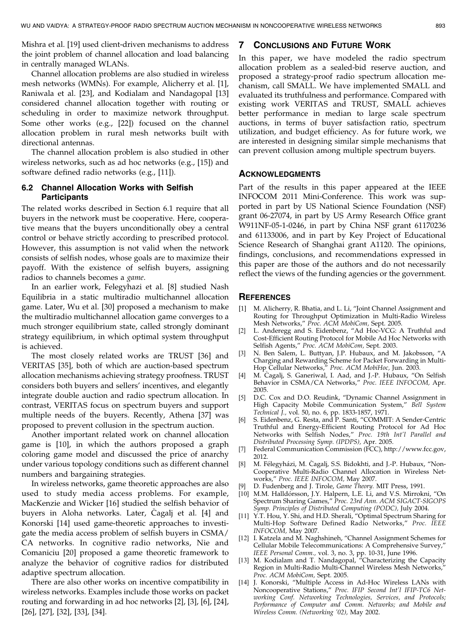Mishra et al. [19] used client-driven mechanisms to address the joint problem of channel allocation and load balancing in centrally managed WLANs.

Channel allocation problems are also studied in wireless mesh networks (WMNs). For example, Alicherry et al. [1], Raniwala et al. [23], and Kodialam and Nandagopal [13] considered channel allocation together with routing or scheduling in order to maximize network throughput. Some other works (e.g., [22]) focused on the channel allocation problem in rural mesh networks built with directional antennas.

The channel allocation problem is also studied in other wireless networks, such as ad hoc networks (e.g., [15]) and software defined radio networks (e.g., [11]).

## 6.2 Channel Allocation Works with Selfish **Participants**

The related works described in Section 6.1 require that all buyers in the network must be cooperative. Here, cooperative means that the buyers unconditionally obey a central control or behave strictly according to prescribed protocol. However, this assumption is not valid when the network consists of selfish nodes, whose goals are to maximize their payoff. With the existence of selfish buyers, assigning radios to channels becomes a game.

In an earlier work, Felegyhazi et al. [8] studied Nash Equilibria in a static multiradio multichannel allocation game. Later, Wu et al. [30] proposed a mechanism to make the multiradio multichannel allocation game converges to a much stronger equilibrium state, called strongly dominant strategy equilibrium, in which optimal system throughput is achieved.

The most closely related works are TRUST [36] and VERITAS [35], both of which are auction-based spectrum allocation mechanisms achieving strategy proofness. TRUST considers both buyers and sellers' incentives, and elegantly integrate double auction and radio spectrum allocation. In contrast, VERITAS focus on spectrum buyers and support multiple needs of the buyers. Recently, Athena [37] was proposed to prevent collusion in the spectrum auction.

Another important related work on channel allocation game is [10], in which the authors proposed a graph coloring game model and discussed the price of anarchy under various topology conditions such as different channel numbers and bargaining strategies.

In wireless networks, game theoretic approaches are also used to study media access problems. For example, MacKenzie and Wicker [16] studied the selfish behavior of buyers in Aloha networks. Later, Cagalj et al. [4] and Konorski [14] used game-theoretic approaches to investigate the media access problem of selfish buyers in CSMA/ CA networks. In cognitive radio networks, Nie and Comaniciu [20] proposed a game theoretic framework to analyze the behavior of cognitive radios for distributed adaptive spectrum allocation.

There are also other works on incentive compatibility in wireless networks. Examples include those works on packet routing and forwarding in ad hoc networks [2], [3], [6], [24], [26], [27], [32], [33], [34].

# 7 CONCLUSIONS AND FUTURE WORK

In this paper, we have modeled the radio spectrum allocation problem as a sealed-bid reserve auction, and proposed a strategy-proof radio spectrum allocation mechanism, call SMALL. We have implemented SMALL and evaluated its truthfulness and performance. Compared with existing work VERITAS and TRUST, SMALL achieves better performance in median to large scale spectrum auctions, in terms of buyer satisfaction ratio, spectrum utilization, and budget efficiency. As for future work, we are interested in designing similar simple mechanisms that can prevent collusion among multiple spectrum buyers.

## ACKNOWLEDGMENTS

Part of the results in this paper appeared at the IEEE INFOCOM 2011 Mini-Conference. This work was supported in part by US National Science Foundation (NSF) grant 06-27074, in part by US Army Research Office grant W911NF-05-1-0246, in part by China NSF grant 61170236 and 61133006, and in part by Key Project of Educational Science Research of Shanghai grant A1120. The opinions, findings, conclusions, and recommendations expressed in this paper are those of the authors and do not necessarily reflect the views of the funding agencies or the government.

## **REFERENCES**

- [1] M. Alicherry, R. Bhatia, and L. Li, "Joint Channel Assignment and Routing for Throughput Optimization in Multi-Radio Wireless Mesh Networks," Proc. ACM MobiCom, Sept. 2005.
- [2] L. Anderegg and S. Eidenbenz, "Ad Hoc-VCG: A Truthful and Cost-Efficient Routing Protocol for Mobile Ad Hoc Networks with Selfish Agents," Proc. ACM MobiCom, Sept. 2003.
- [3] N. Ben Salem, L. Buttyan, J.P. Hubaux, and M. Jakobsson, "A Charging and Rewarding Scheme for Packet Forwarding in Multi-Hop Cellular Networks," Proc. ACM MobiHoc, Jun. 2003.
- [4] M. Cagalj, S. Ganeriwal, I. Aad, and J.-P. Hubaux, "On Selfish Behavior in CSMA/CA Networks," Proc. IEEE INFOCOM, Apr. 2005.
- [5] D.C. Cox and D.O. Reudink, "Dynamic Channel Assignment in High Capacity Mobile Communication System," Bell System Technical J., vol. 50, no. 6, pp. 1833-1857, 1971.
- [6] S. Eidenbenz, G. Resta, and P. Santi, "COMMIT: A Sender-Centric Truthful and Energy-Efficient Routing Protocol for Ad Hoc Networks with Selfish Nodes," Proc. 19th Int'l Parallel and Distributed Processing Symp. (IPDPS), Apr. 2005.
- [7] Federal Communication Commission (FCC), http://www.fcc.gov, 2012.
- [8] M. Félegyházi, M. Čagalj, S.S. Bidokhti, and J.-P. Hubaux, "Non-Cooperative Multi-Radio Channel Allocation in Wireless Networks," Proc. IEEE INFOCOM, May 2007.
- [9] D. Fudenberg and J. Tirole, Game Theory. MIT Press, 1991.
- [10] M.M. Halldórsson, J.Y. Halpern, L.E. Li, and V.S. Mirrokni, "On Spectrum Sharing Games," Proc. 23rd Ann. ACM SIGACT-SIGOPS Symp. Principles of Distributed Computing (PODC), July 2004.
- [11] Y.T. Hou, Y. Shi, and H.D. Sherali, "Optimal Spectrum Sharing for Multi-Hop Software Defined Radio Networks," Proc. IEEE INFOCOM, May 2007.
- [12] I. Katzela and M. Naghshineh, "Channel Assignment Schemes for Cellular Mobile Telecommunications: A Comprehensive Survey," IEEE Personal Comm., vol. 3, no. 3, pp. 10-31, June 1996.
- [13] M. Kodialam and T. Nandagopal, "Characterizing the Capacity Region in Multi-Radio Multi-Channel Wireless Mesh Networks," Proc. ACM MobiCom, Sept. 2005.
- [14] J. Konorski, "Multiple Access in Ad-Hoc Wireless LANs with Noncooperative Stations," Proc. IFIP Second Int'l IFIP-TC6 Networking Conf. Networking Technologies, Services, and Protocols; Performance of Computer and Comm. Networks; and Mobile and Wireless Comm. (Networking '02), May 2002.